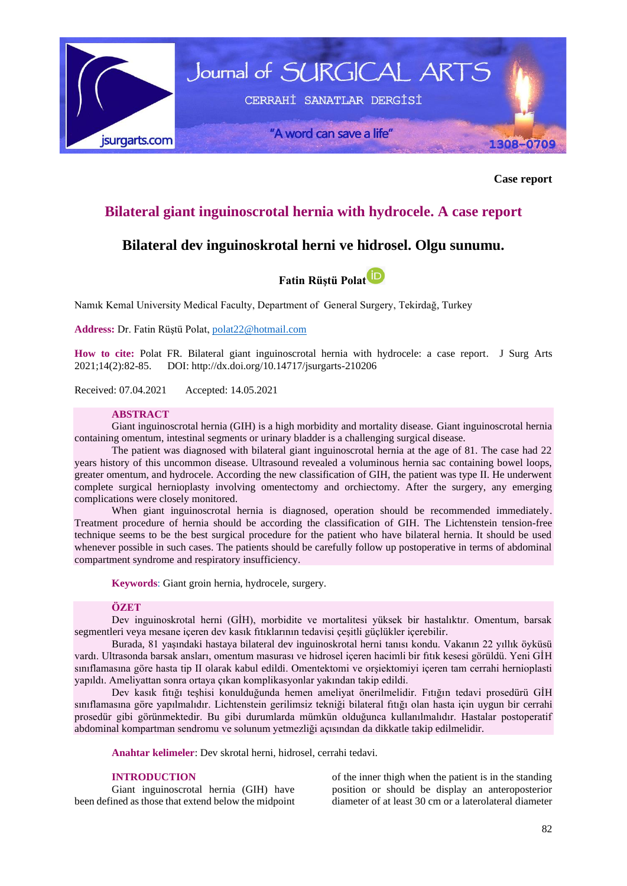

**Case report**

# **Bilateral giant inguinoscrotal hernia with hydrocele. A case report**

# **Bilateral dev inguinoskrotal herni ve hidrosel. Olgu sunumu.**



Namık Kemal University Medical Faculty, Department of General Surgery, Tekirdağ, Turkey

**Address:** Dr. Fatin Rüştü Polat[, polat22@hotmail.com](mailto:polat22@hotmail.com)

**How to cite:** Polat FR. Bilateral giant inguinoscrotal hernia with hydrocele: a case report. J Surg Arts 2021;14(2):82-85. DOI:<http://dx.doi.org/10.14717/jsurgarts-210206>

Received: 07.04.2021 Accepted: 14.05.2021

## **ABSTRACT**

Giant inguinoscrotal hernia (GIH) is a high morbidity and mortality disease. Giant inguinoscrotal hernia containing omentum, intestinal segments or urinary bladder is a challenging surgical disease.

The patient was diagnosed with bilateral giant inguinoscrotal hernia at the age of 81. The case had 22 years history of this uncommon disease. Ultrasound revealed a voluminous hernia sac containing bowel loops, greater omentum, and hydrocele. According the new classification of GIH, the patient was type II. He underwent complete surgical hernioplasty involving omentectomy and orchiectomy. After the surgery, any emerging complications were closely monitored.

When giant inguinoscrotal hernia is diagnosed, operation should be recommended immediately. Treatment procedure of hernia should be according the classification of GIH. The Lichtenstein tension-free technique seems to be the best surgical procedure for the patient who have bilateral hernia. It should be used whenever possible in such cases. The patients should be carefully follow up postoperative in terms of abdominal compartment syndrome and respiratory insufficiency.

**Keywords**: Giant groin hernia, hydrocele, surgery.

## **ÖZET**

Dev inguinoskrotal herni (GİH), morbidite ve mortalitesi yüksek bir hastalıktır. Omentum, barsak segmentleri veya mesane içeren dev kasık fıtıklarının tedavisi çeşitli güçlükler içerebilir.

Burada, 81 yaşındaki hastaya bilateral dev inguinoskrotal herni tanısı kondu. Vakanın 22 yıllık öyküsü vardı. Ultrasonda barsak ansları, omentum masurası ve hidrosel içeren hacimli bir fıtık kesesi görüldü. Yeni GİH sınıflamasına göre hasta tip II olarak kabul edildi. Omentektomi ve orşiektomiyi içeren tam cerrahi hernioplasti yapıldı. Ameliyattan sonra ortaya çıkan komplikasyonlar yakından takip edildi.

Dev kasık fıtığı teşhisi konulduğunda hemen ameliyat önerilmelidir. Fıtığın tedavi prosedürü GİH sınıflamasına göre yapılmalıdır. Lichtenstein gerilimsiz tekniği bilateral fıtığı olan hasta için uygun bir cerrahi prosedür gibi görünmektedir. Bu gibi durumlarda mümkün olduğunca kullanılmalıdır. Hastalar postoperatif abdominal kompartman sendromu ve solunum yetmezliği açısından da dikkatle takip edilmelidir.

**Anahtar kelimeler**: Dev skrotal herni, hidrosel, cerrahi tedavi.

#### **INTRODUCTION**

Giant inguinoscrotal hernia (GIH) have been defined as those that extend below the midpoint

of the inner thigh when the patient is in the standing position or should be display an anteroposterior diameter of at least 30 cm or a laterolateral diameter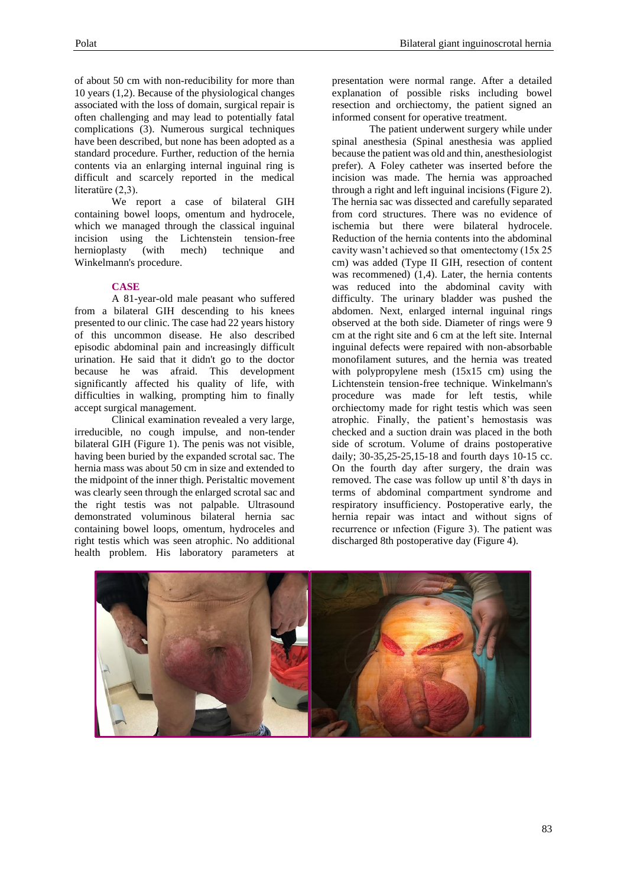of about 50 cm with non-reducibility for more than 10 years (1,2). Because of the physiological changes associated with the loss of domain, surgical repair is often challenging and may lead to potentially fatal complications (3). Numerous surgical techniques have been described, but none has been adopted as a standard procedure. Further, reduction of the hernia contents via an enlarging internal inguinal ring is difficult and scarcely reported in the medical literatüre (2,3).

We report a case of bilateral GIH containing bowel loops, omentum and hydrocele, which we managed through the classical inguinal incision using the Lichtenstein tension-free<br>hernioplasty (with mech) technique and hernioplasty (with mech) technique and Winkelmann's procedure.

# **CASE**

A 81-year-old male peasant who suffered from a bilateral GIH descending to his knees presented to our clinic. The case had 22 years history of this uncommon disease. He also described episodic abdominal pain and increasingly difficult urination. He said that it didn't go to the doctor because he was afraid. This development significantly affected his quality of life, with difficulties in walking, prompting him to finally accept surgical management.

Clinical examination revealed a very large, irreducible, no cough impulse, and non-tender bilateral GIH (Figure 1). The penis was not visible, having been buried by the expanded scrotal sac. The hernia mass was about 50 cm in size and extended to the midpoint of the inner thigh. Peristaltic movement was clearly seen through the enlarged scrotal sac and the right testis was not palpable. Ultrasound demonstrated voluminous bilateral hernia sac containing bowel loops, omentum, hydroceles and right testis which was seen atrophic. No additional health problem. His laboratory parameters at

presentation were normal range. After a detailed explanation of possible risks including bowel resection and orchiectomy, the patient signed an informed consent for operative treatment.

The patient underwent surgery while under spinal anesthesia (Spinal anesthesia was applied because the patient was old and thin, anesthesiologist prefer). A Foley catheter was inserted before the incision was made. The hernia was approached through a right and left inguinal incisions (Figure 2). The hernia sac was dissected and carefully separated from cord structures. There was no evidence of ischemia but there were bilateral hydrocele. Reduction of the hernia contents into the abdominal cavity wasn't achieved so that omentectomy (15x 25 cm) was added (Type II GIH, resection of content was recommened) (1.4). Later, the hernia contents was reduced into the abdominal cavity with difficulty. The urinary bladder was pushed the abdomen. Next, enlarged internal inguinal rings observed at the both side. Diameter of rings were 9 cm at the right site and 6 cm at the left site. Internal inguinal defects were repaired with non-absorbable monofilament sutures, and the hernia was treated with polypropylene mesh (15x15 cm) using the Lichtenstein tension-free technique. Winkelmann's procedure was made for left testis, while orchiectomy made for right testis which was seen atrophic. Finally, the patient's hemostasis was checked and a suction drain was placed in the both side of scrotum. Volume of drains postoperative daily; 30-35,25-25,15-18 and fourth days 10-15 cc. On the fourth day after surgery, the drain was removed. The case was follow up until 8'th days in terms of abdominal compartment syndrome and respiratory insufficiency. Postoperative early, the hernia repair was intact and without signs of recurrence or ınfection (Figure 3). The patient was discharged 8th postoperative day (Figure 4).

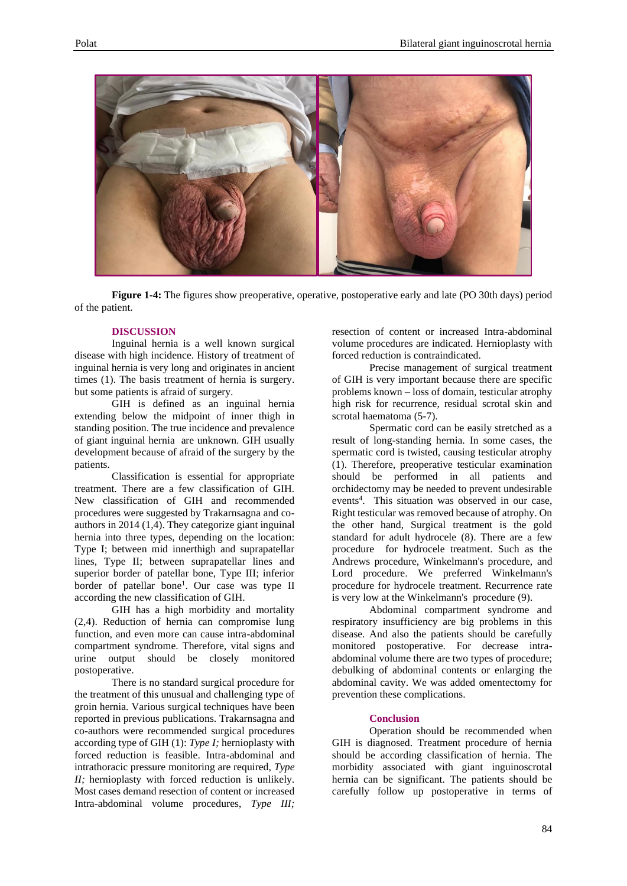

**Figure 1-4:** The figures show preoperative, operative, postoperative early and late (PO 30th days) period of the patient.

#### **DISCUSSION**

Inguinal hernia is a well known surgical disease with high incidence. History of treatment of inguinal hernia is very long and originates in ancient times (1). The basis treatment of hernia is surgery. but some patients is afraid of surgery.

GIH is defined as an inguinal hernia extending below the midpoint of inner thigh in standing position. The true incidence and prevalence of giant inguinal hernia are unknown. GIH usually development because of afraid of the surgery by the patients.

Classification is essential for appropriate treatment. There are a few classification of GIH. New classification of GIH and recommended procedures were suggested by Trakarnsagna and coauthors in 2014 (1,4). They categorize giant inguinal hernia into three types, depending on the location: Type I; between mid innerthigh and suprapatellar lines, Type II; between suprapatellar lines and superior border of patellar bone, Type III; inferior border of patellar bone<sup>1</sup>. Our case was type II according the new classification of GIH.

GIH has a high morbidity and mortality (2,4). Reduction of hernia can compromise lung function, and even more can cause intra-abdominal compartment syndrome. Therefore, vital signs and urine output should be closely monitored postoperative.

There is no standard surgical procedure for the treatment of this unusual and challenging type of groin hernia. Various surgical techniques have been reported in previous publications. Trakarnsagna and co-authors were recommended surgical procedures according type of GIH (1): *Type I;* hernioplasty with forced reduction is feasible. Intra-abdominal and intrathoracic pressure monitoring are required, *Type II;* hernioplasty with forced reduction is unlikely. Most cases demand resection of content or increased Intra-abdominal volume procedures, *Type III;*

resection of content or increased Intra-abdominal volume procedures are indicated. Hernioplasty with forced reduction is contraindicated.

Precise management of surgical treatment of GIH is very important because there are specific problems known – loss of domain, testicular atrophy high risk for recurrence, residual scrotal skin and scrotal haematoma (5-7).

Spermatic cord can be easily stretched as a result of long-standing hernia. In some cases, the spermatic cord is twisted, causing testicular atrophy (1). Therefore, preoperative testicular examination should be performed in all patients and orchidectomy may be needed to prevent undesirable events<sup>4</sup>. This situation was observed in our case, Right testicular was removed because of atrophy. On the other hand, Surgical treatment is the gold standard for adult hydrocele (8). There are a few procedure for hydrocele treatment. Such as the Andrews procedure, Winkelmann's procedure, and Lord procedure. We preferred Winkelmann's procedure for hydrocele treatment. Recurrence rate is very low at the Winkelmann's procedure (9).

Abdominal compartment syndrome and respiratory insufficiency are big problems in this disease. And also the patients should be carefully monitored postoperative. For decrease intraabdominal volume there are two types of procedure; debulking of abdominal contents or enlarging the abdominal cavity. We was added omentectomy for prevention these complications.

### **Conclusion**

Operation should be recommended when GIH is diagnosed. Treatment procedure of hernia should be according classification of hernia. The morbidity associated with giant inguinoscrotal hernia can be significant. The patients should be carefully follow up postoperative in terms of